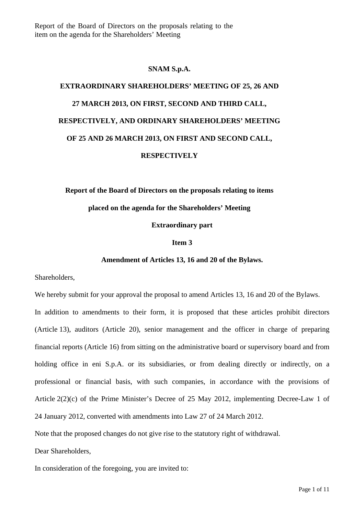Report of the Board of Directors on the proposals relating to the item on the agenda for the Shareholders' Meeting

# **SNAM S.p.A.**

# **EXTRAORDINARY SHAREHOLDERS' MEETING OF 25, 26 AND 27 MARCH 2013, ON FIRST, SECOND AND THIRD CALL, RESPECTIVELY, AND ORDINARY SHAREHOLDERS' MEETING OF 25 AND 26 MARCH 2013, ON FIRST AND SECOND CALL, RESPECTIVELY**

**Report of the Board of Directors on the proposals relating to items** 

# **placed on the agenda for the Shareholders' Meeting**

**Extraordinary part** 

#### **Item 3**

# **Amendment of Articles 13, 16 and 20 of the Bylaws.**

Shareholders,

We hereby submit for your approval the proposal to amend Articles 13, 16 and 20 of the Bylaws. In addition to amendments to their form, it is proposed that these articles prohibit directors (Article 13), auditors (Article 20), senior management and the officer in charge of preparing financial reports (Article 16) from sitting on the administrative board or supervisory board and from holding office in eni S.p.A. or its subsidiaries, or from dealing directly or indirectly, on a professional or financial basis, with such companies, in accordance with the provisions of Article 2(2)(c) of the Prime Minister's Decree of 25 May 2012, implementing Decree-Law 1 of 24 January 2012, converted with amendments into Law 27 of 24 March 2012.

Note that the proposed changes do not give rise to the statutory right of withdrawal.

Dear Shareholders,

In consideration of the foregoing, you are invited to: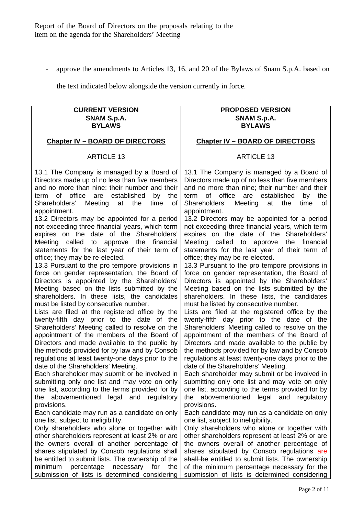- approve the amendments to Articles 13, 16, and 20 of the Bylaws of Snam S.p.A. based on

the text indicated below alongside the version currently in force.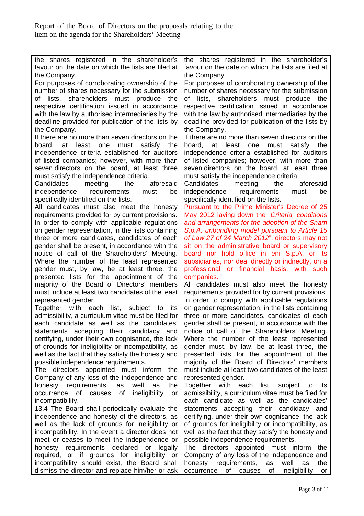| the shares registered in the shareholder's          | the shares registered in the shareholder's              |
|-----------------------------------------------------|---------------------------------------------------------|
| favour on the date on which the lists are filed at  | favour on the date on which the lists are filed at      |
| the Company.                                        | the Company.                                            |
| For purposes of corroborating ownership of the      | For purposes of corroborating ownership of the          |
| number of shares necessary for the submission       | number of shares necessary for the submission           |
| shareholders must produce the<br>lists,<br>of       | lists, shareholders<br>must produce the<br>οf           |
| respective certification issued in accordance       | respective certification issued in accordance           |
|                                                     |                                                         |
| with the law by authorised intermediaries by the    | with the law by authorised intermediaries by the        |
| deadline provided for publication of the lists by   | deadline provided for publication of the lists by       |
| the Company.                                        | the Company.                                            |
| If there are no more than seven directors on the    | If there are no more than seven directors on the        |
| at least one<br>must<br>satisfy<br>board,<br>the    | board,<br>at least<br>one<br>must<br>satisfy<br>the     |
| independence criteria established for auditors      | independence criteria established for auditors          |
| of listed companies; however, with more than        | of listed companies; however, with more than            |
| seven directors on the board, at least three        | seven directors on the board, at least three            |
| must satisfy the independence criteria.             | must satisfy the independence criteria.                 |
| Candidates<br>meeting the<br>aforesaid              | Candidates meeting<br>the<br>aforesaid                  |
| independence requirements<br>must<br>be             | independence requirements<br>must<br>be                 |
| specifically identified on the lists.               | specifically identified on the lists.                   |
|                                                     | Pursuant to the Prime Minister's Decree of 25           |
| All candidates must also meet the honesty           |                                                         |
| requirements provided for by current provisions.    | May 2012 laying down the "Criteria, conditions          |
| In order to comply with applicable regulations      | and arrangements for the adoption of the Snam           |
| on gender representation, in the lists containing   | S.p.A. unbundling model pursuant to Article 15          |
| three or more candidates, candidates of each        | of Law 27 of 24 March 2012", directors may not          |
| gender shall be present, in accordance with the     | sit on the administrative board or supervisory          |
| notice of call of the Shareholders' Meeting.        | board nor hold office in eni S.p.A. or its              |
| Where the number of the least represented           | subsidiaries, nor deal directly or indirectly, on a     |
| gender must, by law, be at least three, the         | professional or financial basis, with such              |
| presented lists for the appointment of the          | companies.                                              |
| majority of the Board of Directors' members         | All candidates must also meet the honesty               |
| must include at least two candidates of the least   | requirements provided for by current provisions.        |
| represented gender.                                 | In order to comply with applicable regulations          |
| Together with each list, subject to<br>its          | on gender representation, in the lists containing       |
| admissibility, a curriculum vitae must be filed for | three or more candidates, candidates of each            |
| each candidate as well as the candidates'           | gender shall be present, in accordance with the         |
| statements accepting their candidacy<br>and         | notice of call of the Shareholders' Meeting.            |
| certifying, under their own cognisance, the lack    |                                                         |
|                                                     | Where the number of the least represented               |
| of grounds for ineligibility or incompatibility, as | gender must, by law, be at least three, the             |
| well as the fact that they satisfy the honesty and  | presented lists for the appointment of the              |
| possible independence requirements.                 | majority of the Board of Directors' members             |
| The directors appointed must inform<br>the          | must include at least two candidates of the least       |
| Company of any loss of the independence and         | represented gender.                                     |
| honesty requirements,<br>well<br>as<br>as<br>the    | Together with each list, subject<br>to<br>its           |
| occurrence of causes<br>ineligibility<br>οf<br>or   | admissibility, a curriculum vitae must be filed for     |
| incompatibility.                                    | each candidate as well as the candidates'               |
| 13.4 The Board shall periodically evaluate the      | statements accepting their candidacy and                |
| independence and honesty of the directors, as       | certifying, under their own cognisance, the lack        |
| well as the lack of grounds for ineligibility or    | of grounds for ineligibility or incompatibility, as     |
| incompatibility. In the event a director does not   | well as the fact that they satisfy the honesty and      |
| meet or ceases to meet the independence or          | possible independence requirements.                     |
| honesty requirements declared or<br>legally         | The directors appointed must inform<br>the              |
| required, or if grounds for ineligibility or        | Company of any loss of the independence and             |
| incompatibility should exist, the Board shall       | honesty<br>requirements,<br>well<br>as<br>as<br>the     |
| dismiss the director and replace him/her or ask     | occurrence<br>of<br>of<br>ineligibility<br>causes<br>or |
|                                                     |                                                         |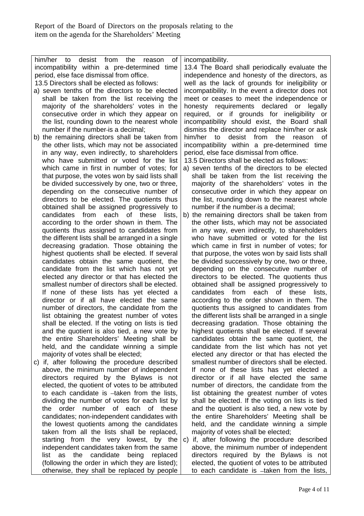independent candidates taken from the same

| him/her<br>from<br>desist<br>the<br>0f<br>to<br>reason | incompatibility.                                       |
|--------------------------------------------------------|--------------------------------------------------------|
| incompatibility within a pre-determined time           | 13.4 The Board shall periodically evaluate the         |
| period, else face dismissal from office.               | independence and honesty of the directors, as          |
| 13.5 Directors shall be elected as follows:            | well as the lack of grounds for ineligibility or       |
| a) seven tenths of the directors to be elected         | incompatibility. In the event a director does not      |
| shall be taken from the list receiving the             | meet or ceases to meet the independence or             |
| majority of the shareholders' votes in the             | honesty requirements declared or legally               |
|                                                        |                                                        |
| consecutive order in which they appear on              | required, or if grounds for ineligibility or           |
| the list, rounding down to the nearest whole           | incompatibility should exist, the Board shall          |
| number if the number-is a decimal;                     | dismiss the director and replace him/her or ask        |
| b) the remaining directors shall be taken from         | him/her<br>desist<br>from<br>to<br>the<br>reason<br>0f |
| the other lists, which may not be associated           | incompatibility within a pre-determined time           |
| in any way, even indirectly, to shareholders           | period, else face dismissal from office.               |
| who have submitted or voted for the list               | 13.5 Directors shall be elected as follows:            |
| which came in first in number of votes; for            | a) seven tenths of the directors to be elected         |
| that purpose, the votes won by said lists shall        | shall be taken from the list receiving the             |
| be divided successively by one, two or three,          | majority of the shareholders' votes in the             |
| depending on the consecutive number of                 | consecutive order in which they appear on              |
| directors to be elected. The quotients thus            | the list, rounding down to the nearest whole           |
| obtained shall be assigned progressively to            | number if the number-is a decimal;                     |
| each of these<br>candidates from<br>lists,             | b) the remaining directors shall be taken from         |
| according to the order shown in them. The              | the other lists, which may not be associated           |
| quotients thus assigned to candidates from             | in any way, even indirectly, to shareholders           |
| the different lists shall be arranged in a single      | who have submitted or voted for the list               |
| decreasing gradation. Those obtaining the              | which came in first in number of votes; for            |
| highest quotients shall be elected. If several         | that purpose, the votes won by said lists shall        |
| candidates obtain the same quotient, the               | be divided successively by one, two or three,          |
| candidate from the list which has not yet              | depending on the consecutive number of                 |
| elected any director or that has elected the           | directors to be elected. The quotients thus            |
| smallest number of directors shall be elected.         | obtained shall be assigned progressively to            |
| If none of these lists has yet elected a               | candidates<br>from<br>each of these<br>lists,          |
| director or if all have elected the same               | according to the order shown in them. The              |
| number of directors, the candidate from the            | quotients thus assigned to candidates from             |
| list obtaining the greatest number of votes            | the different lists shall be arranged in a single      |
| shall be elected. If the voting on lists is tied       | decreasing gradation. Those obtaining the              |
| and the quotient is also tied, a new vote by           | highest quotients shall be elected. If several         |
| the entire Shareholders' Meeting shall be              | candidates obtain the same quotient, the               |
| held, and the candidate winning a simple               | candidate from the list which has not yet              |
| majority of votes shall be elected;                    | elected any director or that has elected the           |
|                                                        |                                                        |
| c) if, after following the procedure described         | smallest number of directors shall be elected.         |
| above, the minimum number of independent               | If none of these lists has yet elected a               |
| directors required by the Bylaws is not                | director or if all have elected the same               |
| elected, the quotient of votes to be attributed        | number of directors, the candidate from the            |
| to each candidate is -taken from the lists,            | list obtaining the greatest number of votes            |
| dividing the number of votes for each list by          | shall be elected. If the voting on lists is tied       |
| order<br>number of each<br>the<br>of l<br>these        | and the quotient is also tied, a new vote by           |
| candidates; non-independent candidates with            | the entire Shareholders' Meeting shall be              |
| the lowest quotients among the candidates              | held, and the candidate winning a simple               |
| taken from all the lists shall be replaced,            | majority of votes shall be elected;                    |

starting from the very lowest, by the list as the candidate being replaced (following the order in which they are listed); otherwise, they shall be replaced by people c) if, after following the procedure described above, the minimum number of independent directors required by the Bylaws is not elected, the quotient of votes to be attributed to each candidate is -taken from the lists,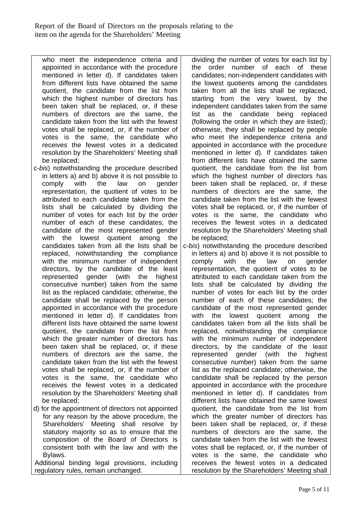who meet the independence criteria and appointed in accordance with the procedure mentioned in letter d). If candidates taken from different lists have obtained the same quotient, the candidate from the list from which the highest number of directors has been taken shall be replaced, or, if these numbers of directors are the same, the candidate taken from the list with the fewest votes shall be replaced, or, if the number of votes is the same, the candidate who receives the fewest votes in a dedicated resolution by the Shareholders' Meeting shall be replaced;

- c-*bis*) notwithstanding the procedure described in letters a) and b) above it is not possible to comply with the law on gender representation, the quotient of votes to be attributed to each candidate taken from the lists shall be calculated by dividing the number of votes for each list by the order number of each of these candidates; the candidate of the most represented gender with the lowest quotient among the candidates taken from all the lists shall be replaced, notwithstanding the compliance with the minimum number of independent directors, by the candidate of the least represented gender (with the highest consecutive number) taken from the same list as the replaced candidate; otherwise, the candidate shall be replaced by the person appointed in accordance with the procedure mentioned in letter d). If candidates from different lists have obtained the same lowest quotient, the candidate from the list from which the greater number of directors has been taken shall be replaced, or, if these numbers of directors are the same, the candidate taken from the list with the fewest votes shall be replaced, or, if the number of votes is the same, the candidate who receives the fewest votes in a dedicated resolution by the Shareholders' Meeting shall be replaced;
- d) for the appointment of directors not appointed for any reason by the above procedure, the Shareholders' Meeting shall resolve by statutory majority so as to ensure that the composition of the Board of Directors is consistent both with the law and with the Bylaws.

Additional binding legal provisions, including regulatory rules, remain unchanged.

dividing the number of votes for each list by the order number of each of these candidates; non-independent candidates with the lowest quotients among the candidates taken from all the lists shall be replaced, starting from the very lowest, by the independent candidates taken from the same list as the candidate being replaced (following the order in which they are listed); otherwise, they shall be replaced by people who meet the independence criteria and appointed in accordance with the procedure mentioned in letter d). If candidates taken from different lists have obtained the same quotient, the candidate from the list from which the highest number of directors has been taken shall be replaced, or, if these numbers of directors are the same, the candidate taken from the list with the fewest votes shall be replaced, or, if the number of votes is the same, the candidate who receives the fewest votes in a dedicated resolution by the Shareholders' Meeting shall be replaced;

c-*bis*) notwithstanding the procedure described in letters a) and b) above it is not possible to comply with the law on gender representation, the quotient of votes to be attributed to each candidate taken from the lists shall be calculated by dividing the number of votes for each list by the order number of each of these candidates; the candidate of the most represented gender with the lowest quotient among the candidates taken from all the lists shall be replaced, notwithstanding the compliance with the minimum number of independent directors, by the candidate of the least represented gender (with the highest consecutive number) taken from the same list as the replaced candidate; otherwise, the candidate shall be replaced by the person appointed in accordance with the procedure mentioned in letter d). If candidates from different lists have obtained the same lowest quotient, the candidate from the list from which the greater number of directors has been taken shall be replaced, or, if these numbers of directors are the same, the candidate taken from the list with the fewest votes shall be replaced, or, if the number of votes is the same, the candidate who receives the fewest votes in a dedicated resolution by the Shareholders' Meeting shall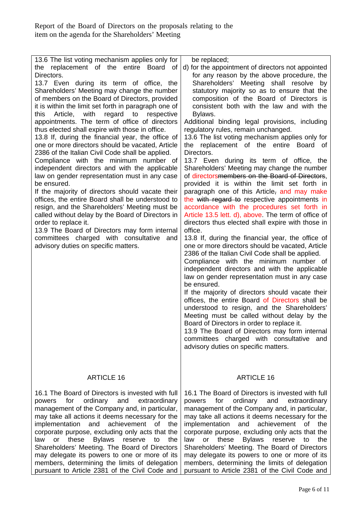| 13.6 The list voting mechanism applies only for<br>replacement of the entire Board of<br>the<br>Directors.<br>13.7 Even during its term of office, the<br>Shareholders' Meeting may change the number<br>of members on the Board of Directors, provided<br>it is within the limit set forth in paragraph one of<br>Article, with regard to respective<br>this<br>appointments. The term of office of directors<br>thus elected shall expire with those in office.<br>13.8 If, during the financial year, the office of<br>one or more directors should be vacated, Article<br>2386 of the Italian Civil Code shall be applied.<br>Compliance with the minimum number of<br>independent directors and with the applicable<br>law on gender representation must in any case<br>be ensured.<br>If the majority of directors should vacate their<br>offices, the entire Board shall be understood to<br>resign, and the Shareholders' Meeting must be<br>called without delay by the Board of Directors in<br>order to replace it.<br>13.9 The Board of Directors may form internal<br>committees charged with consultative and<br>advisory duties on specific matters. | be replaced;<br>d) for the appointment of directors not appointed<br>for any reason by the above procedure, the<br>Shareholders' Meeting shall resolve<br>by<br>statutory majority so as to ensure that the<br>composition of the Board of Directors is<br>consistent both with the law and with the<br>Bylaws.<br>Additional binding legal provisions, including<br>regulatory rules, remain unchanged.<br>13.6 The list voting mechanism applies only for<br>the replacement of the entire Board of<br>Directors.<br>13.7 Even during its term of office, the<br>Shareholders' Meeting may change the number<br>of directorsmembers on the Board of Directors,<br>provided it is within the limit set forth in<br>paragraph one of this Article, and may make<br>the with regard to respective appointments in<br>accordance with the procedures set forth in<br>Article 13.5 lett. d), above. The term of office of<br>directors thus elected shall expire with those in<br>office.<br>13.8 If, during the financial year, the office of<br>one or more directors should be vacated, Article<br>2386 of the Italian Civil Code shall be applied.<br>Compliance with the minimum number of<br>independent directors and with the applicable<br>law on gender representation must in any case<br>be ensured.<br>If the majority of directors should vacate their<br>offices, the entire Board of Directors shall be<br>understood to resign, and the Shareholders'<br>Meeting must be called without delay by the<br>Board of Directors in order to replace it.<br>13.9 The Board of Directors may form internal<br>committees charged with consultative and<br>advisory duties on specific matters. |
|---------------------------------------------------------------------------------------------------------------------------------------------------------------------------------------------------------------------------------------------------------------------------------------------------------------------------------------------------------------------------------------------------------------------------------------------------------------------------------------------------------------------------------------------------------------------------------------------------------------------------------------------------------------------------------------------------------------------------------------------------------------------------------------------------------------------------------------------------------------------------------------------------------------------------------------------------------------------------------------------------------------------------------------------------------------------------------------------------------------------------------------------------------------------|-------------------------------------------------------------------------------------------------------------------------------------------------------------------------------------------------------------------------------------------------------------------------------------------------------------------------------------------------------------------------------------------------------------------------------------------------------------------------------------------------------------------------------------------------------------------------------------------------------------------------------------------------------------------------------------------------------------------------------------------------------------------------------------------------------------------------------------------------------------------------------------------------------------------------------------------------------------------------------------------------------------------------------------------------------------------------------------------------------------------------------------------------------------------------------------------------------------------------------------------------------------------------------------------------------------------------------------------------------------------------------------------------------------------------------------------------------------------------------------------------------------------------------------------------------------------------------------------------------------------------------------------------------------------------------------------------------|
| <b>ARTICLE 16</b>                                                                                                                                                                                                                                                                                                                                                                                                                                                                                                                                                                                                                                                                                                                                                                                                                                                                                                                                                                                                                                                                                                                                                   | <b>ARTICLE 16</b>                                                                                                                                                                                                                                                                                                                                                                                                                                                                                                                                                                                                                                                                                                                                                                                                                                                                                                                                                                                                                                                                                                                                                                                                                                                                                                                                                                                                                                                                                                                                                                                                                                                                                     |
| 16.1 The Board of Directors is invested with full<br>ordinary<br>and<br>for<br>extraordinary<br>powers<br>management of the Company and, in particular,<br>may take all actions it deems necessary for the<br>implementation<br>achievement<br>and<br>of<br>the<br>corporate purpose, excluding only acts that the<br>law<br>these<br><b>Bylaws</b><br>the<br>reserve<br>or<br>to<br>Shareholders' Meeting. The Board of Directors<br>may delegate its powers to one or more of its<br>members, determining the limits of delegation<br>pursuant to Article 2381 of the Civil Code and                                                                                                                                                                                                                                                                                                                                                                                                                                                                                                                                                                              | 16.1 The Board of Directors is invested with full<br>ordinary<br>and<br>for<br>extraordinary<br>powers<br>management of the Company and, in particular,<br>may take all actions it deems necessary for the<br>implementation<br>achievement<br>and<br>οf<br>the<br>corporate purpose, excluding only acts that the<br>law<br>these<br><b>Bylaws</b><br>the<br>or<br>reserve<br>to<br>Shareholders' Meeting. The Board of Directors<br>may delegate its powers to one or more of its<br>members, determining the limits of delegation<br>pursuant to Article 2381 of the Civil Code and                                                                                                                                                                                                                                                                                                                                                                                                                                                                                                                                                                                                                                                                                                                                                                                                                                                                                                                                                                                                                                                                                                                |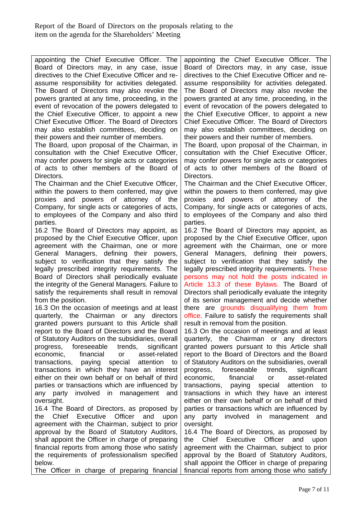appointing the Chief Executive Officer. The Board of Directors may, in any case, issue directives to the Chief Executive Officer and reassume responsibility for activities delegated. The Board of Directors may also revoke the powers granted at any time, proceeding, in the event of revocation of the powers delegated to the Chief Executive Officer, to appoint a new Chief Executive Officer. The Board of Directors may also establish committees, deciding on their powers and their number of members.

The Board, upon proposal of the Chairman, in consultation with the Chief Executive Officer, may confer powers for single acts or categories of acts to other members of the Board of Directors.

The Chairman and the Chief Executive Officer, within the powers to them conferred, may give proxies and powers of attorney of the Company, for single acts or categories of acts, to employees of the Company and also third parties.

16.2 The Board of Directors may appoint, as proposed by the Chief Executive Officer, upon agreement with the Chairman, one or more General Managers, defining their powers, subject to verification that they satisfy the legally prescribed integrity requirements. The Board of Directors shall periodically evaluate the integrity of the General Managers. Failure to satisfy the requirements shall result in removal from the position.

16.3 On the occasion of meetings and at least quarterly, the Chairman or any directors granted powers pursuant to this Article shall report to the Board of Directors and the Board of Statutory Auditors on the subsidiaries, overall progress, foreseeable trends, significant economic, financial or asset-related transactions, paying special attention to transactions in which they have an interest either on their own behalf or on behalf of third parties or transactions which are influenced by any party involved in management and oversight.

16.4 The Board of Directors, as proposed by the Chief Executive Officer and upon agreement with the Chairman, subject to prior approval by the Board of Statutory Auditors, shall appoint the Officer in charge of preparing financial reports from among those who satisfy the requirements of professionalism specified below.

The Officer in charge of preparing financial

appointing the Chief Executive Officer. The Board of Directors may, in any case, issue directives to the Chief Executive Officer and reassume responsibility for activities delegated. The Board of Directors may also revoke the powers granted at any time, proceeding, in the event of revocation of the powers delegated to the Chief Executive Officer, to appoint a new Chief Executive Officer. The Board of Directors may also establish committees, deciding on their powers and their number of members.

The Board, upon proposal of the Chairman, in consultation with the Chief Executive Officer, may confer powers for single acts or categories of acts to other members of the Board of Directors.

The Chairman and the Chief Executive Officer, within the powers to them conferred, may give proxies and powers of attorney of the Company, for single acts or categories of acts, to employees of the Company and also third parties.

16.2 The Board of Directors may appoint, as proposed by the Chief Executive Officer, upon agreement with the Chairman, one or more General Managers, defining their powers, subject to verification that they satisfy the legally prescribed integrity requirements. These persons may not hold the posts indicated in Article 13.3 of these Bylaws. The Board of Directors shall periodically evaluate the integrity of its senior management and decide whether there are grounds disqualifying them from office. Failure to satisfy the requirements shall result in removal from the position.

16.3 On the occasion of meetings and at least quarterly, the Chairman or any directors granted powers pursuant to this Article shall report to the Board of Directors and the Board of Statutory Auditors on the subsidiaries, overall progress, foreseeable trends, significant economic, financial or asset-related transactions, paying special attention to transactions in which they have an interest either on their own behalf or on behalf of third parties or transactions which are influenced by any party involved in management and oversight.

16.4 The Board of Directors, as proposed by the Chief Executive Officer and upon agreement with the Chairman, subject to prior approval by the Board of Statutory Auditors, shall appoint the Officer in charge of preparing financial reports from among those who satisfy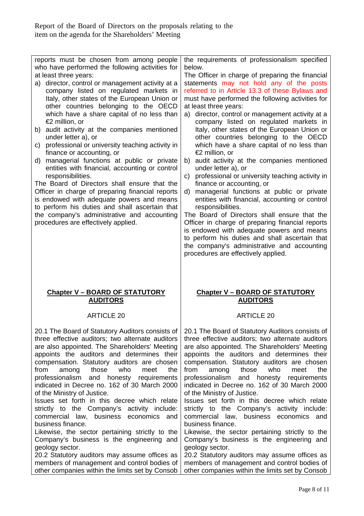| reports must be chosen from among people<br>who have performed the following activities for                                                                                                                                                                                                                                                                                                                                                                                                                                                                                                                                                                                                                                                                                                                                                            |                                                                                                                                                                                                                                                                                                                                                                                                                                                                                                                                                                                                                                                                                                                                                                                                                                                                                                                                                                                                                                                                                                                                |
|--------------------------------------------------------------------------------------------------------------------------------------------------------------------------------------------------------------------------------------------------------------------------------------------------------------------------------------------------------------------------------------------------------------------------------------------------------------------------------------------------------------------------------------------------------------------------------------------------------------------------------------------------------------------------------------------------------------------------------------------------------------------------------------------------------------------------------------------------------|--------------------------------------------------------------------------------------------------------------------------------------------------------------------------------------------------------------------------------------------------------------------------------------------------------------------------------------------------------------------------------------------------------------------------------------------------------------------------------------------------------------------------------------------------------------------------------------------------------------------------------------------------------------------------------------------------------------------------------------------------------------------------------------------------------------------------------------------------------------------------------------------------------------------------------------------------------------------------------------------------------------------------------------------------------------------------------------------------------------------------------|
| at least three years:<br>a) director, control or management activity at a<br>company listed on regulated markets in<br>Italy, other states of the European Union or<br>other countries belonging to the OECD<br>which have a share capital of no less than<br>€2 million, or<br>b) audit activity at the companies mentioned<br>under letter a), or<br>c) professional or university teaching activity in<br>finance or accounting, or<br>d) managerial functions at public or private<br>entities with financial, accounting or control<br>responsibilities.<br>The Board of Directors shall ensure that the<br>Officer in charge of preparing financial reports<br>is endowed with adequate powers and means<br>to perform his duties and shall ascertain that<br>the company's administrative and accounting<br>procedures are effectively applied. | the requirements of professionalism specified<br>below.<br>The Officer in charge of preparing the financial<br>statements may not hold any of the posts<br>referred to in Article 13.3 of these Bylaws and<br>must have performed the following activities for<br>at least three years:<br>director, control or management activity at a<br>a)<br>company listed on regulated markets in<br>Italy, other states of the European Union or<br>other countries belonging to the OECD<br>which have a share capital of no less than<br>€2 million, or<br>b) audit activity at the companies mentioned<br>under letter a), or<br>c) professional or university teaching activity in<br>finance or accounting, or<br>managerial functions at public or private<br>d)<br>entities with financial, accounting or control<br>responsibilities.<br>The Board of Directors shall ensure that the<br>Officer in charge of preparing financial reports<br>is endowed with adequate powers and means<br>to perform his duties and shall ascertain that<br>the company's administrative and accounting<br>procedures are effectively applied. |
|                                                                                                                                                                                                                                                                                                                                                                                                                                                                                                                                                                                                                                                                                                                                                                                                                                                        |                                                                                                                                                                                                                                                                                                                                                                                                                                                                                                                                                                                                                                                                                                                                                                                                                                                                                                                                                                                                                                                                                                                                |
| <b>Chapter V - BOARD OF STATUTORY</b><br><b>AUDITORS</b>                                                                                                                                                                                                                                                                                                                                                                                                                                                                                                                                                                                                                                                                                                                                                                                               | <b>Chapter V - BOARD OF STATUTORY</b><br><b>AUDITORS</b>                                                                                                                                                                                                                                                                                                                                                                                                                                                                                                                                                                                                                                                                                                                                                                                                                                                                                                                                                                                                                                                                       |
| <b>ARTICLE 20</b>                                                                                                                                                                                                                                                                                                                                                                                                                                                                                                                                                                                                                                                                                                                                                                                                                                      | <b>ARTICLE 20</b>                                                                                                                                                                                                                                                                                                                                                                                                                                                                                                                                                                                                                                                                                                                                                                                                                                                                                                                                                                                                                                                                                                              |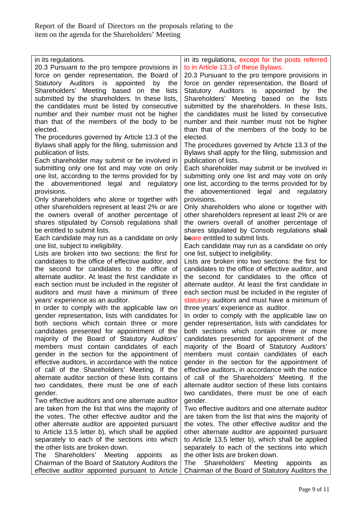| in its regulations.<br>20.3 Pursuant to the pro tempore provisions in<br>force on gender representation, the Board of<br>Statutory Auditors is appointed<br>the<br>by<br>Shareholders' Meeting based on the<br>lists<br>submitted by the shareholders. In these lists,<br>the candidates must be listed by consecutive<br>number and their number must not be higher<br>than that of the members of the body to be | in its regulations, except for the posts referred<br>to in Article 13.3 of these Bylaws.<br>20.3 Pursuant to the pro tempore provisions in<br>force on gender representation, the Board of<br>Statutory Auditors is appointed<br>by the<br>Shareholders' Meeting based on the<br>lists<br>submitted by the shareholders. In these lists,<br>the candidates must be listed by consecutive<br>number and their number must not be higher |
|--------------------------------------------------------------------------------------------------------------------------------------------------------------------------------------------------------------------------------------------------------------------------------------------------------------------------------------------------------------------------------------------------------------------|----------------------------------------------------------------------------------------------------------------------------------------------------------------------------------------------------------------------------------------------------------------------------------------------------------------------------------------------------------------------------------------------------------------------------------------|
| elected.                                                                                                                                                                                                                                                                                                                                                                                                           | than that of the members of the body to be                                                                                                                                                                                                                                                                                                                                                                                             |
| The procedures governed by Article 13.3 of the                                                                                                                                                                                                                                                                                                                                                                     | elected.                                                                                                                                                                                                                                                                                                                                                                                                                               |
| Bylaws shall apply for the filing, submission and                                                                                                                                                                                                                                                                                                                                                                  | The procedures governed by Article 13.3 of the                                                                                                                                                                                                                                                                                                                                                                                         |
| publication of lists.                                                                                                                                                                                                                                                                                                                                                                                              | Bylaws shall apply for the filing, submission and                                                                                                                                                                                                                                                                                                                                                                                      |
| Each shareholder may submit or be involved in<br>submitting only one list and may vote on only<br>one list, according to the terms provided for by<br>abovementioned legal and<br>regulatory<br>the<br>provisions.<br>Only shareholders who alone or together with                                                                                                                                                 | publication of lists.<br>Each shareholder may submit or be involved in<br>submitting only one list and may vote on only<br>one list, according to the terms provided for by<br>legal and<br>abovementioned<br>the<br>regulatory<br>provisions.                                                                                                                                                                                         |
| other shareholders represent at least 2% or are                                                                                                                                                                                                                                                                                                                                                                    | Only shareholders who alone or together with                                                                                                                                                                                                                                                                                                                                                                                           |
| the owners overall of another percentage of                                                                                                                                                                                                                                                                                                                                                                        | other shareholders represent at least 2% or are                                                                                                                                                                                                                                                                                                                                                                                        |
| shares stipulated by Consob regulations shall                                                                                                                                                                                                                                                                                                                                                                      | the owners overall of another percentage of                                                                                                                                                                                                                                                                                                                                                                                            |
| be entitled to submit lists.                                                                                                                                                                                                                                                                                                                                                                                       | shares stipulated by Consob regulations shall                                                                                                                                                                                                                                                                                                                                                                                          |
| Each candidate may run as a candidate on only                                                                                                                                                                                                                                                                                                                                                                      | beare entitled to submit lists.                                                                                                                                                                                                                                                                                                                                                                                                        |
| one list, subject to ineligibility.                                                                                                                                                                                                                                                                                                                                                                                | Each candidate may run as a candidate on only                                                                                                                                                                                                                                                                                                                                                                                          |
| Lists are broken into two sections: the first for                                                                                                                                                                                                                                                                                                                                                                  | one list, subject to ineligibility.                                                                                                                                                                                                                                                                                                                                                                                                    |
| candidates to the office of effective auditor, and                                                                                                                                                                                                                                                                                                                                                                 | Lists are broken into two sections: the first for                                                                                                                                                                                                                                                                                                                                                                                      |
| the second for candidates to the office of                                                                                                                                                                                                                                                                                                                                                                         | candidates to the office of effective auditor, and                                                                                                                                                                                                                                                                                                                                                                                     |
| alternate auditor. At least the first candidate in                                                                                                                                                                                                                                                                                                                                                                 | the second for candidates to the office of                                                                                                                                                                                                                                                                                                                                                                                             |
| each section must be included in the register of                                                                                                                                                                                                                                                                                                                                                                   | alternate auditor. At least the first candidate in                                                                                                                                                                                                                                                                                                                                                                                     |
| auditors and must have a minimum of three                                                                                                                                                                                                                                                                                                                                                                          | each section must be included in the register of                                                                                                                                                                                                                                                                                                                                                                                       |
| years' experience as an auditor.                                                                                                                                                                                                                                                                                                                                                                                   | statutory auditors and must have a minimum of                                                                                                                                                                                                                                                                                                                                                                                          |
| In order to comply with the applicable law on                                                                                                                                                                                                                                                                                                                                                                      | three years' experience as auditor.                                                                                                                                                                                                                                                                                                                                                                                                    |
| gender representation, lists with candidates for                                                                                                                                                                                                                                                                                                                                                                   | In order to comply with the applicable law on                                                                                                                                                                                                                                                                                                                                                                                          |
| both sections which contain three or more                                                                                                                                                                                                                                                                                                                                                                          | gender representation, lists with candidates for                                                                                                                                                                                                                                                                                                                                                                                       |
| candidates presented for appointment of the                                                                                                                                                                                                                                                                                                                                                                        | both sections which contain three or more                                                                                                                                                                                                                                                                                                                                                                                              |
| majority of the Board of Statutory Auditors'                                                                                                                                                                                                                                                                                                                                                                       | candidates presented for appointment of the                                                                                                                                                                                                                                                                                                                                                                                            |
| members must contain candidates of each                                                                                                                                                                                                                                                                                                                                                                            | majority of the Board of Statutory Auditors'                                                                                                                                                                                                                                                                                                                                                                                           |
| gender in the section for the appointment of                                                                                                                                                                                                                                                                                                                                                                       | members must contain candidates of each                                                                                                                                                                                                                                                                                                                                                                                                |
| effective auditors, in accordance with the notice                                                                                                                                                                                                                                                                                                                                                                  | gender in the section for the appointment of                                                                                                                                                                                                                                                                                                                                                                                           |
| of call of the Shareholders' Meeting. If the                                                                                                                                                                                                                                                                                                                                                                       | effective auditors, in accordance with the notice                                                                                                                                                                                                                                                                                                                                                                                      |
| alternate auditor section of these lists contains                                                                                                                                                                                                                                                                                                                                                                  | of call of the Shareholders' Meeting. If the                                                                                                                                                                                                                                                                                                                                                                                           |
| two candidates, there must be one of each                                                                                                                                                                                                                                                                                                                                                                          | alternate auditor section of these lists contains                                                                                                                                                                                                                                                                                                                                                                                      |
| gender.                                                                                                                                                                                                                                                                                                                                                                                                            | two candidates, there must be one of each                                                                                                                                                                                                                                                                                                                                                                                              |
| Two effective auditors and one alternate auditor                                                                                                                                                                                                                                                                                                                                                                   | gender.                                                                                                                                                                                                                                                                                                                                                                                                                                |
| are taken from the list that wins the majority of                                                                                                                                                                                                                                                                                                                                                                  | Two effective auditors and one alternate auditor                                                                                                                                                                                                                                                                                                                                                                                       |
| the votes. The other effective auditor and the                                                                                                                                                                                                                                                                                                                                                                     | are taken from the list that wins the majority of                                                                                                                                                                                                                                                                                                                                                                                      |
| other alternate auditor are appointed pursuant                                                                                                                                                                                                                                                                                                                                                                     | the votes. The other effective auditor and the                                                                                                                                                                                                                                                                                                                                                                                         |
| to Article 13.5 letter b), which shall be applied                                                                                                                                                                                                                                                                                                                                                                  | other alternate auditor are appointed pursuant                                                                                                                                                                                                                                                                                                                                                                                         |
| separately to each of the sections into which                                                                                                                                                                                                                                                                                                                                                                      | to Article 13.5 letter b), which shall be applied                                                                                                                                                                                                                                                                                                                                                                                      |
| the other lists are broken down.<br>Shareholders'<br>The<br>Meeting<br>appoints<br>as<br>Chairman of the Board of Statutory Auditors the<br>effective auditor appointed pursuant to Article                                                                                                                                                                                                                        | separately to each of the sections into which<br>the other lists are broken down.<br>Shareholders' Meeting<br>The l<br>appoints<br>as<br>Chairman of the Board of Statutory Auditors the                                                                                                                                                                                                                                               |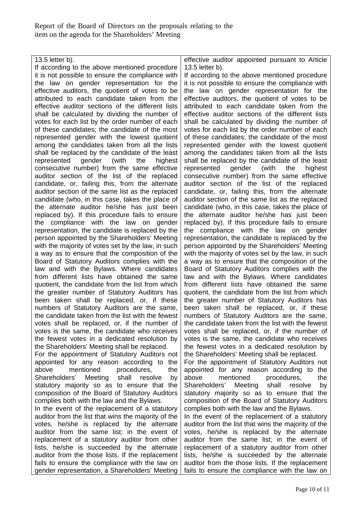13.5 letter b). If according to the above mentioned procedure it is not possible to ensure the compliance with the law on gender representation for the effective auditors, the quotient of votes to be attributed to each candidate taken from the effective auditor sections of the different lists shall be calculated by dividing the number of votes for each list by the order number of each of these candidates; the candidate of the most represented gender with the lowest quotient among the candidates taken from all the lists shall be replaced by the candidate of the least represented gender (with the highest consecutive number) from the same effective auditor section of the list of the replaced candidate, or, failing this, from the alternate auditor section of the same list as the replaced candidate (who, in this case, takes the place of the alternate auditor he/she has just been replaced by). If this procedure fails to ensure the compliance with the law on gender representation, the candidate is replaced by the person appointed by the Shareholders' Meeting with the majority of votes set by the law, in such a way as to ensure that the composition of the Board of Statutory Auditors complies with the law and with the Bylaws. Where candidates from different lists have obtained the same quotient, the candidate from the list from which the greater number of Statutory Auditors has been taken shall be replaced, or, if these numbers of Statutory Auditors are the same, the candidate taken from the list with the fewest votes shall be replaced, or, if the number of votes is the same, the candidate who receives the fewest votes in a dedicated resolution by the Shareholders' Meeting shall be replaced. For the appointment of Statutory Auditors not appointed for any reason according to the above mentioned procedures, the Shareholders' Meeting shall resolve by statutory majority so as to ensure that the composition of the Board of Statutory Auditors complies both with the law and the Bylaws. In the event of the replacement of a statutory auditor from the list that wins the majority of the votes, he/she is replaced by the alternate auditor from the same list; in the event of replacement of a statutory auditor from other lists, he/she is succeeded by the alternate auditor from the those lists. If the replacement fails to ensure the compliance with the law on gender representation, a Shareholders' Meeting effective auditor appointed pursuant to Article 13.5 letter b). If according to the above mentioned procedure it is not possible to ensure the compliance with the law on gender representation for the effective auditors, the quotient of votes to be attributed to each candidate taken from the effective auditor sections of the different lists shall be calculated by dividing the number of votes for each list by the order number of each of these candidates; the candidate of the most represented gender with the lowest quotient among the candidates taken from all the lists shall be replaced by the candidate of the least represented gender (with the highest consecutive number) from the same effective auditor section of the list of the replaced candidate, or, failing this, from the alternate auditor section of the same list as the replaced candidate (who, in this case, takes the place of the alternate auditor he/she has just been replaced by). If this procedure fails to ensure the compliance with the law on gender representation, the candidate is replaced by the person appointed by the Shareholders' Meeting with the majority of votes set by the law, in such a way as to ensure that the composition of the Board of Statutory Auditors complies with the law and with the Bylaws. Where candidates from different lists have obtained the same quotient, the candidate from the list from which the greater number of Statutory Auditors has been taken shall be replaced, or, if these numbers of Statutory Auditors are the same, the candidate taken from the list with the fewest votes shall be replaced, or, if the number of votes is the same, the candidate who receives the fewest votes in a dedicated resolution by the Shareholders' Meeting shall be replaced. For the appointment of Statutory Auditors not appointed for any reason according to the above mentioned procedures, the Shareholders' Meeting shall resolve by statutory majority so as to ensure that the composition of the Board of Statutory Auditors complies both with the law and the Bylaws. In the event of the replacement of a statutory auditor from the list that wins the majority of the votes, he/she is replaced by the alternate auditor from the same list; in the event of replacement of a statutory auditor from other lists, he/she is succeeded by the alternate auditor from the those lists. If the replacement fails to ensure the compliance with the law on